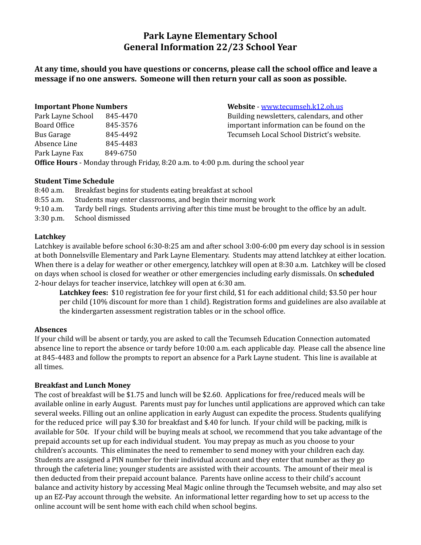# **Park Layne Elementary School General Information 22/23 School Year**

# **At any time, should you have questions or concerns, please call the school office and leave a message if no one answers. Someone will then return your call as soon as possible.**

| <b>Important Phone Numbers</b> |          | Website - www.tecumseh.k12.oh.us           |
|--------------------------------|----------|--------------------------------------------|
| Park Layne School              | 845-4470 | Building newsletters, calendars, and other |
| Board Office                   | 845-3576 | important information can be found on the  |
| Bus Garage                     | 845-4492 | Tecumseh Local School District's website.  |
| Absence Line                   | 845-4483 |                                            |
| Park Layne Fax                 | 849-6750 |                                            |
|                                |          |                                            |

**Office Hours** - Monday through Friday, 8:20 a.m. to 4:00 p.m. during the school year

## **Student Time Schedule**

8:40 a.m. Breakfast begins for students eating breakfast at school 8:55 a.m. Students may enter classrooms, and begin their morning work 9:10 a.m. Tardy bell rings. Students arriving after this time must be brought to the office by an adult. 3:30 p.m. School dismissed

## **Latchkey**

Latchkey is available before school 6:30-8:25 am and after school 3:00-6:00 pm every day school is in session at both Donnelsville Elementary and Park Layne Elementary. Students may attend latchkey at either location. When there is a delay for weather or other emergency, latchkey will open at 8:30 a.m. Latchkey will be closed on days when school is closed for weather or other emergencies including early dismissals. On **scheduled** 2-hour delays for teacher inservice, latchkey will open at 6:30 am.

**Latchkey fees:** \$10 registration fee for your first child, \$1 for each additional child; \$3.50 per hour per child (10% discount for more than 1 child). Registration forms and guidelines are also available at the kindergarten assessment registration tables or in the school office.

## **Absences**

If your child will be absent or tardy, you are asked to call the Tecumseh Education Connection automated absence line to report the absence or tardy before 10:00 a.m. each applicable day. Please call the absence line at 845-4483 and follow the prompts to report an absence for a Park Layne student. This line is available at all times.

## **Breakfast and Lunch Money**

The cost of breakfast will be \$1.75 and lunch will be \$2.60. Applications for free/reduced meals will be available online in early August. Parents must pay for lunches until applications are approved which can take several weeks. Filling out an online application in early August can expedite the process. Students qualifying for the reduced price will pay \$.30 for breakfast and \$.40 for lunch. If your child will be packing, milk is available for 50¢. If your child will be buying meals at school, we recommend that you take advantage of the prepaid accounts set up for each individual student. You may prepay as much as you choose to your children's accounts. This eliminates the need to remember to send money with your children each day. Students are assigned a PIN number for their individual account and they enter that number as they go through the cafeteria line; younger students are assisted with their accounts. The amount of their meal is then deducted from their prepaid account balance. Parents have online access to their child's account balance and activity history by accessing Meal Magic online through the Tecumseh website, and may also set up an EZ-Pay account through the website. An informational letter regarding how to set up access to the online account will be sent home with each child when school begins.